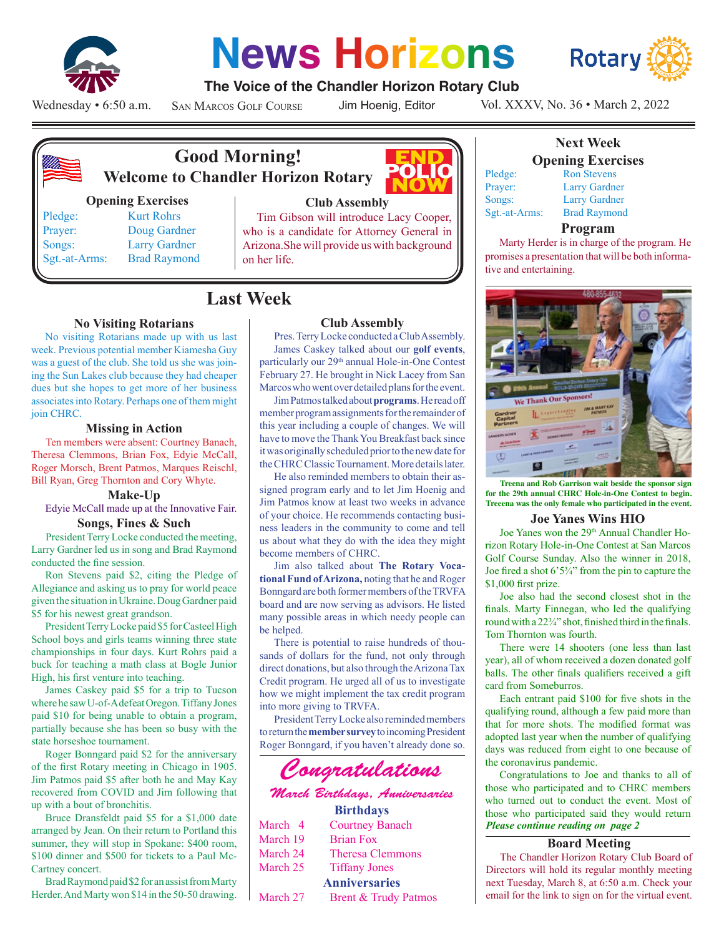

# **News Horizons**

**The Voice of the Chandler Horizon Rotary Club**



### Wednesday • 6:50 a.m.

San Marcos Golf Course

Jim Hoenig, Editor

POLIC

Vol. XXXV, No. 36 • March 2, 2022



## **Good Morning! Welcome to Chandler Horizon Rotary**

#### **Opening Exercises**

Pledge: Kurt Rohrs Prayer: Doug Gardner Songs: Larry Gardner Sgt.-at-Arms: Brad Raymond

## **Club Assembly**

Tim Gibson will introduce Lacy Cooper, who is a candidate for Attorney General in Arizona.She will provide us with background on her life.

## **Last Week**

#### **No Visiting Rotarians**

No visiting Rotarians made up with us last week. Previous potential member Kiamesha Guy was a guest of the club. She told us she was joining the Sun Lakes club because they had cheaper dues but she hopes to get more of her business associates into Rotary. Perhaps one of them might join CHRC.

#### **Missing in Action**

Ten members were absent: Courtney Banach, Theresa Clemmons, Brian Fox, Edyie McCall, Roger Morsch, Brent Patmos, Marques Reischl, Bill Ryan, Greg Thornton and Cory Whyte.

#### **Make-Up**

Edyie McCall made up at the Innovative Fair.

#### **Songs, Fines & Such**

President Terry Locke conducted the meeting, Larry Gardner led us in song and Brad Raymond conducted the fine session.

Ron Stevens paid \$2, citing the Pledge of Allegiance and asking us to pray for world peace given the situation in Ukraine. Doug Gardner paid \$5 for his newest great grandson.

President Terry Locke paid \$5 for Casteel High School boys and girls teams winning three state championships in four days. Kurt Rohrs paid a buck for teaching a math class at Bogle Junior High, his first venture into teaching.

James Caskey paid \$5 for a trip to Tucson where he saw U-of-A defeat Oregon. Tiffany Jones paid \$10 for being unable to obtain a program, partially because she has been so busy with the state horseshoe tournament.

Roger Bonngard paid \$2 for the anniversary of the first Rotary meeting in Chicago in 1905. Jim Patmos paid \$5 after both he and May Kay recovered from COVID and Jim following that up with a bout of bronchitis.

Bruce Dransfeldt paid \$5 for a \$1,000 date arranged by Jean. On their return to Portland this summer, they will stop in Spokane: \$400 room, \$100 dinner and \$500 for tickets to a Paul Mc-Cartney concert.

Brad Raymond paid \$2 for an assist from Marty Herder. And Marty won \$14 in the 50-50 drawing.

#### **Club Assembly**

Pres. Terry Locke conducted a Club Assembly. James Caskey talked about our **golf events**, particularly our 29<sup>th</sup> annual Hole-in-One Contest February 27. He brought in Nick Lacey from San Marcos who went over detailed plans for the event.

Jim Patmos talked about **programs**. He read off member program assignments for the remainder of this year including a couple of changes. We will have to move the Thank You Breakfast back since it was originally scheduled prior to the new date for the CHRC Classic Tournament. More details later.

He also reminded members to obtain their assigned program early and to let Jim Hoenig and Jim Patmos know at least two weeks in advance of your choice. He recommends contacting business leaders in the community to come and tell us about what they do with the idea they might become members of CHRC.

Jim also talked about **The Rotary Vocational Fund of Arizona,** noting that he and Roger Bonngard are both former members of the TRVFA board and are now serving as advisors. He listed many possible areas in which needy people can be helped.

There is potential to raise hundreds of thousands of dollars for the fund, not only through direct donations, but also through the Arizona Tax Credit program. He urged all of us to investigate how we might implement the tax credit program into more giving to TRVFA.

President Terry Locke also reminded members to return the **member survey** to incoming President Roger Bonngard, if you haven't already done so.

## *Congratulations*

#### *March Birthdays, Anniversaries* **Birthdays**

|          | <b>Du unua</b> y s      |
|----------|-------------------------|
| March 4  | <b>Courtney Banach</b>  |
| March 19 | <b>Brian Fox</b>        |
| March 24 | <b>Theresa Clemmons</b> |
| March 25 | <b>Tiffany Jones</b>    |
|          | <b>Anniversaries</b>    |
| March 27 | Brent & Trudy Patmos    |
|          |                         |

| Sgt.-at-Ari |
|-------------|
|             |

**Opening Exercises** Ron Stevens Larry Gardner

**Next Week**

Larry Gardner ms: Brad Raymond

#### **Program**

Marty Herder is in charge of the program. He promises a presentation that will be both informative and entertaining.



**Treena and Rob Garrison wait beside the sponsor sign for the 29th annual CHRC Hole-in-One Contest to begin. Treeena was the only female who participated in the event.**

#### **Joe Yanes Wins HIO**

Joe Yanes won the 29<sup>th</sup> Annual Chandler Horizon Rotary Hole-in-One Contest at San Marcos Golf Course Sunday. Also the winner in 2018, Joe fired a shot 6'5¾" from the pin to capture the \$1,000 first prize.

Joe also had the second closest shot in the finals. Marty Finnegan, who led the qualifying round with a 22¾" shot, finished third in the finals. Tom Thornton was fourth.

There were 14 shooters (one less than last year), all of whom received a dozen donated golf balls. The other finals qualifiers received a gift card from Someburros.

Each entrant paid \$100 for five shots in the qualifying round, although a few paid more than that for more shots. The modified format was adopted last year when the number of qualifying days was reduced from eight to one because of the coronavirus pandemic.

*Please continue reading on page 2* Congratulations to Joe and thanks to all of those who participated and to CHRC members who turned out to conduct the event. Most of those who participated said they would return

#### **Board Meeting**

The Chandler Horizon Rotary Club Board of Directors will hold its regular monthly meeting next Tuesday, March 8, at 6:50 a.m. Check your email for the link to sign on for the virtual event.